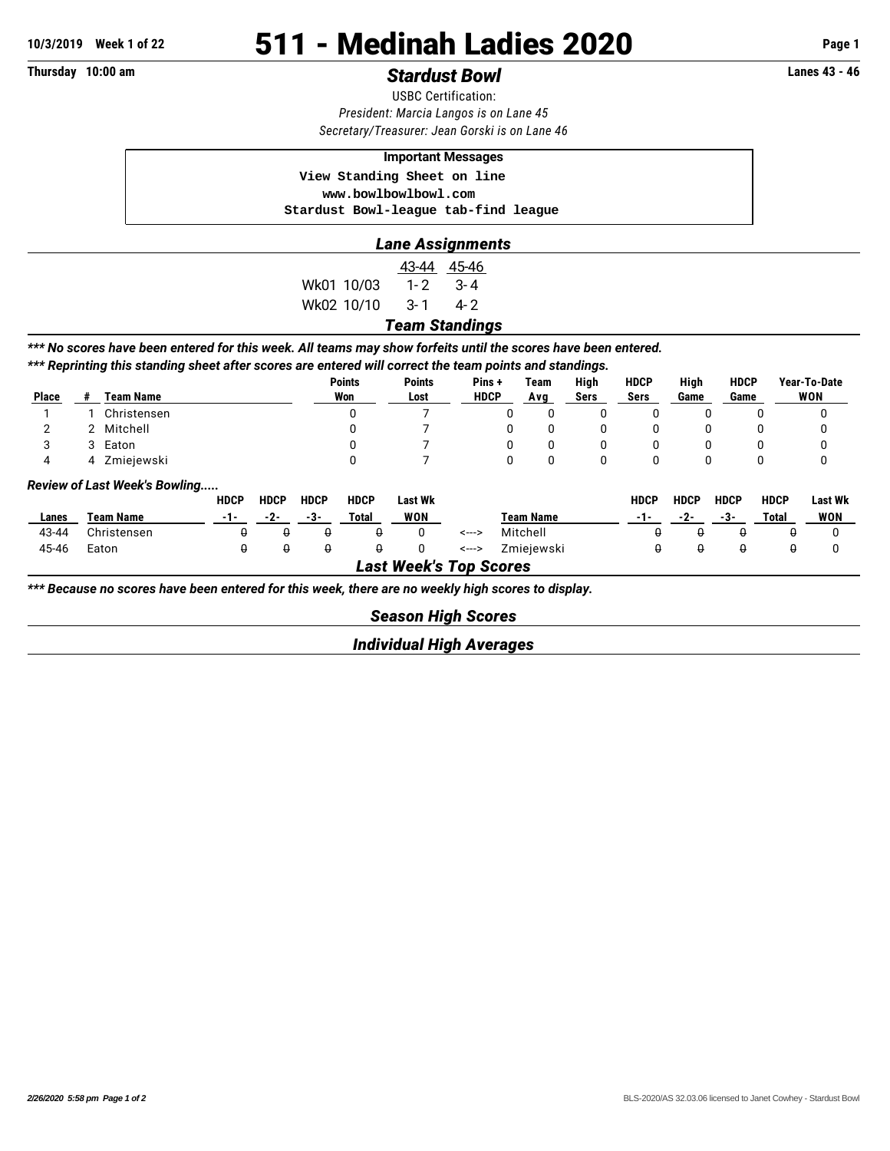# **10/3/2019 Week 1 of 22 511 - Medinah Ladies 2020 Page 1**

## **Thursday 10:00 am** *Stardust Bowl* **Lanes 43 - 46**

USBC Certification: *President: Marcia Langos is on Lane 45 Secretary/Treasurer: Jean Gorski is on Lane 46*

#### **Important Messages**

 **View Standing Sheet on line**

 **<www.bowlbowlbowl.com>**

 **Stardust Bowl-league tab-find league**

### *Lane Assignments*

43-44 45-46 Wk01 10/03 1-2 3-4 Wk02 10/10 3-1 4-2

#### *Team Standings*

*\*\*\* No scores have been entered for this week. All teams may show forfeits until the scores have been entered.*

*\*\*\* Reprinting this standing sheet after scores are entered will correct the team points and standings.*

|              |                                      |             | <b>Points</b> | <b>Points</b> | Pins+       | Team | High | <b>HDCP</b> | High | <b>HDCP</b> | Year-To-Date |  |  |
|--------------|--------------------------------------|-------------|---------------|---------------|-------------|------|------|-------------|------|-------------|--------------|--|--|
| <b>Place</b> |                                      | Team Name   | Won           | Lost          | <b>HDCP</b> | Ava  | Sers | Sers        | Game | Game        | WON          |  |  |
|              |                                      | Christensen |               |               |             | U    | υ    |             |      | υ           | υ            |  |  |
|              |                                      | 2 Mitchell  |               |               |             | U    | 0    |             | O    | υ           | 0            |  |  |
|              |                                      | 3 Eaton     |               |               |             |      | 0    |             |      | 0           | 0            |  |  |
|              | 4                                    | Zmiejewski  |               |               |             |      | 0    |             | 0    | 0           | U            |  |  |
|              | <b>Review of Last Week's Bowling</b> |             |               |               |             |      |      |             |      |             |              |  |  |

|                        |             | <b>HDCP</b> | <b>HDCP</b> | <b>HDCP</b> | <b>HDCP</b> | Last Wk    |       |            | <b>HDCP</b> | <b>HDCP</b> | <b>HDCP</b> | <b>HDCP</b> | Last Wk |
|------------------------|-------------|-------------|-------------|-------------|-------------|------------|-------|------------|-------------|-------------|-------------|-------------|---------|
| Lanes                  | Team Name   | ---         | -2-         | - 5-        | Total       | <b>WON</b> |       | Team Name  | ---         | -2-         | -3-         | Total       | WON     |
| 43-44                  | Christensen |             |             |             |             |            | <---> | Mitchell   |             |             |             |             |         |
| 45-46                  | Eaton       |             |             |             |             |            | <---> | Zmieiewski |             |             |             |             |         |
| .<br>-----<br><u>_</u> |             |             |             |             |             |            |       |            |             |             |             |             |         |

*Last Week's Top Scores*

*\*\*\* Because no scores have been entered for this week, there are no weekly high scores to display.*

*Season High Scores*

*Individual High Averages*